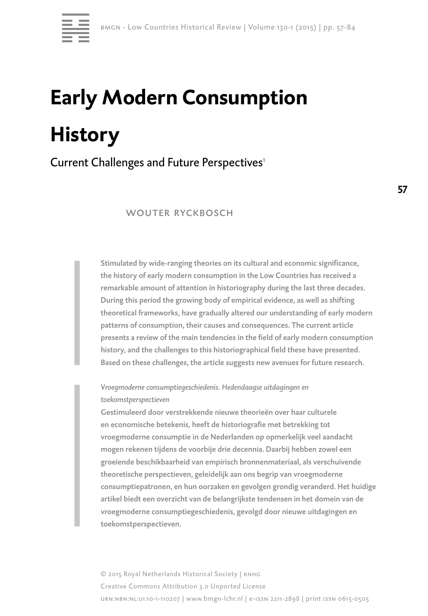

# **Early Modern Consumption History**

Current Challenges and Future Perspectives<sup>1</sup>

## WOUTER RYCKBOSCH

Stimulated by wide-ranging theories on its cultural and economic significance, the history of early modern consumption in the Low Countries has received a remarkable amount of attention in historiography during the last three decades. During this period the growing body of empirical evidence, as well as shifting theoretical frameworks, have gradually altered our understanding of early modern patterns of consumption, their causes and consequences. The current article presents a review of the main tendencies in the field of early modern consumption history, and the challenges to this historiographical field these have presented. Based on these challenges, the article suggests new avenues for future research.

*Vroegmoderne consumptiegeschiedenis. Hedendaagse uitdagingen en toekomstperspectieven* 

Gestimuleerd door verstrekkende nieuwe theorieën over haar culturele en economische betekenis, heeft de historiografie met betrekking tot vroegmoderne consumptie in de Nederlanden op opmerkelijk veel aandacht mogen rekenen tijdens de voorbije drie decennia. Daarbij hebben zowel een groeiende beschikbaarheid van empirisch bronnenmateriaal, als verschuivende theoretische perspectieven, geleidelijk aan ons begrip van vroegmoderne consumptiepatronen, en hun oorzaken en gevolgen grondig veranderd. Het huidige artikel biedt een overzicht van de belangrijkste tendensen in het domein van de vroegmoderne consumptiegeschiedenis, gevolgd door nieuwe uitdagingen en toekomstperspectieven.

© 2015 Royal Netherlands Historical Society | knhg Creative Commons Attribution 3.0 Unported License urn:nbn:nl:ui:10-1-110207 | www.bmgn-lchr.nl | e-issn 2211-2898 | print issn 0615-0505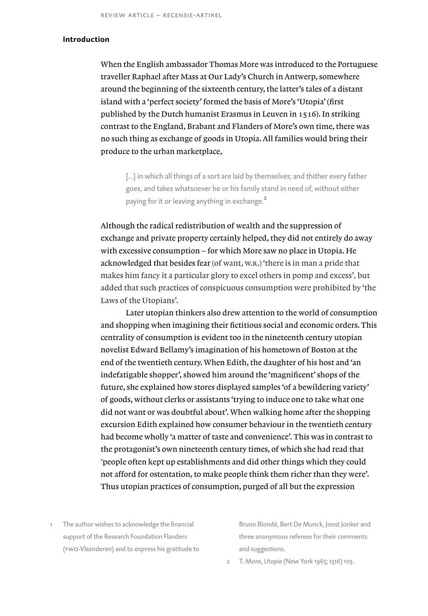## **Introduction**

When the English ambassador Thomas More was introduced to the Portuguese traveller Raphael after Mass at Our Lady's Church in Antwerp, somewhere around the beginning of the sixteenth century, the latter's tales of a distant island with a 'perfect society' formed the basis of More's 'Utopia' (first published by the Dutch humanist Erasmus in Leuven in 1516). In striking contrast to the England, Brabant and Flanders of More's own time, there was no such thing as exchange of goods in Utopia. All families would bring their produce to the urban marketplace,

[...] in which all things of a sort are laid by themselves; and thither every father goes, and takes whatsoever he or his family stand in need of, without either paying for it or leaving anything in exchange.<sup>2</sup>

Although the radical redistribution of wealth and the suppression of exchange and private property certainly helped, they did not entirely do away with excessive consumption – for which More saw no place in Utopia. He acknowledged that besides fear (of want, w.r.) 'there is in man a pride that makes him fancy it a particular glory to excel others in pomp and excess'*,* but added that such practices of conspicuous consumption were prohibited by 'the Laws of the Utopians'.

Later utopian thinkers also drew attention to the world of consumption and shopping when imagining their fictitious social and economic orders. This centrality of consumption is evident too in the nineteenth century utopian novelist Edward Bellamy's imagination of his hometown of Boston at the end of the twentieth century. When Edith, the daughter of his host and 'an indefatigable shopper', showed him around the 'magnificent' shops of the future, she explained how stores displayed samples 'of a bewildering variety' of goods, without clerks or assistants 'trying to induce one to take what one did not want or was doubtful about'. When walking home after the shopping excursion Edith explained how consumer behaviour in the twentieth century had become wholly 'a matter of taste and convenience'. This was in contrast to the protagonist's own nineteenth century times, of which she had read that *'*people often kept up establishments and did other things which they could not afford for ostentation, to make people think them richer than they were'. Thus utopian practices of consumption, purged of all but the expression

1 The author wishes to acknowledge the financial support of the Research Foundation Flanders (fwo-Vlaanderen) and to express his gratitude to Bruno Blondé, Bert De Munck, Joost Jonker and three anonymous referees for their comments and suggestions.

2 T. More, *Utopia* (New York 1965; 1516) 103.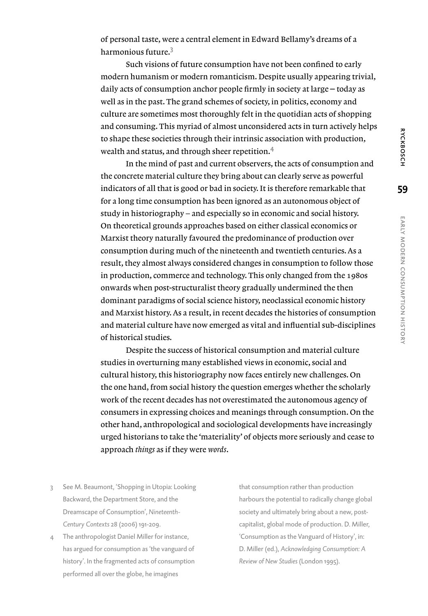of personal taste, were a central element in Edward Bellamy's dreams of a harmonious future.<sup>3</sup>

Such visions of future consumption have not been confined to early modern humanism or modern romanticism. Despite usually appearing trivial, daily acts of consumption anchor people firmly in society at large – today as well as in the past. The grand schemes of society, in politics, economy and culture are sometimes most thoroughly felt in the quotidian acts of shopping and consuming. This myriad of almost unconsidered acts in turn actively helps to shape these societies through their intrinsic association with production, wealth and status, and through sheer repetition.<sup>4</sup>

In the mind of past and current observers, the acts of consumption and the concrete material culture they bring about can clearly serve as powerful indicators of all that is good or bad in society. It is therefore remarkable that for a long time consumption has been ignored as an autonomous object of study in historiography – and especially so in economic and social history. On theoretical grounds approaches based on either classical economics or Marxist theory naturally favoured the predominance of production over consumption during much of the nineteenth and twentieth centuries. As a result, they almost always considered changes in consumption to follow those in production, commerce and technology. This only changed from the 1980s onwards when post-structuralist theory gradually undermined the then dominant paradigms of social science history, neoclassical economic history and Marxist history. As a result, in recent decades the histories of consumption and material culture have now emerged as vital and influential sub-disciplines of historical studies.

Despite the success of historical consumption and material culture studies in overturning many established views in economic, social and cultural history, this historiography now faces entirely new challenges. On the one hand, from social history the question emerges whether the scholarly work of the recent decades has not overestimated the autonomous agency of consumers in expressing choices and meanings through consumption. On the other hand, anthropological and sociological developments have increasingly urged historians to take the 'materiality' of objects more seriously and cease to approach *things* as if they were *words*.

- 3 See M. Beaumont, 'Shopping in Utopia: Looking Backward, the Department Store, and the Dreamscape of Consumption', *Nineteenth-Century Contexts* 28 (2006) 191-209.
- 4 The anthropologist Daniel Miller for instance, has argued for consumption as 'the vanguard of history'. In the fragmented acts of consumption performed all over the globe, he imagines

that consumption rather than production harbours the potential to radically change global society and ultimately bring about a new, postcapitalist, global mode of production. D. Miller, 'Consumption as the Vanguard of History', in: D. Miller (ed.), *Acknowledging Consumption: A Review of New Studies* (London 1995).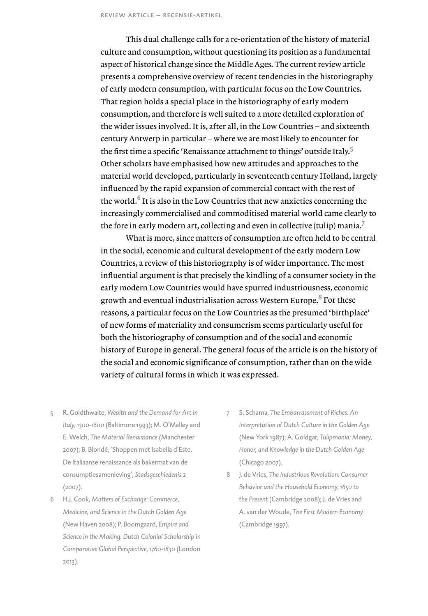This dual challenge calls for a re-orientation of the history of material culture and consumption, without questioning its position as a fundamental aspect of historical change since the Middle Ages. The current review article presents a comprehensive overview of recent tendencies in the historiography of early modern consumption, with particular focus on the Low Countries. That region holds a special place in the historiography of early modern consumption, and therefore is well suited to a more detailed exploration of the wider issues involved. It is, after all, in the Low Countries – and sixteenth century Antwerp in particular – where we are most likely to encounter for the first time a specific 'Renaissance attachment to things' outside Italy.<sup>5</sup> Other scholars have emphasised how new attitudes and approaches to the material world developed, particularly in seventeenth century Holland, largely influenced by the rapid expansion of commercial contact with the rest of the world. $6$  It is also in the Low Countries that new anxieties concerning the increasingly commercialised and commoditised material world came clearly to the fore in early modern art, collecting and even in collective (tulip) mania.<sup>7</sup>

What is more, since matters of consumption are often held to be central in the social, economic and cultural development of the early modern Low Countries, a review of this historiography is of wider importance. The most influential argument is that precisely the kindling of a consumer society in the early modern Low Countries would have spurred industriousness, economic growth and eventual industrialisation across Western Europe.<sup>8</sup> For these reasons, a particular focus on the Low Countries as the presumed 'birthplace' of new forms of materiality and consumerism seems particularly useful for both the historiography of consumption and of the social and economic history of Europe in general. The general focus of the article is on the history of the social and economic significance of consumption, rather than on the wide variety of cultural forms in which it was expressed.

- 5 R. Goldthwaite, *Wealth and the Demand for Art in Italy, 1300-1600* (Baltimore 1993); M. O'Malley and E. Welch, *The Material Renaissance* (Manchester 2007); B. Blondé, 'Shoppen met Isabella d'Este. De Italiaanse renaissance als bakermat van de consumptiesamenleving', *Stadsgeschiedenis* 2 (2007).
- 6 H.J. Cook, *Matters of Exchange: Commerce, Medicine, and Science in the Dutch Golden Age* (New Haven 2008); P. Boomgaard, *Empire and Science in the Making: Dutch Colonial Scholarship in Comparative Global Perspective, 1760-1830* (London 2013).
- 7 S. Schama, *The Embarrassment of Riches: An Interpretation of Dutch Culture in the Golden Age* (New York 1987); A. Goldgar, *Tulipmania: Money, Honor, and Knowledge in the Dutch Golden Age* (Chicago 2007).
- 8 J. de Vries, *The Industrious Revolution: Consumer Behavior and the Household Economy, 1650 to the Present* (Cambridge 2008); J. de Vries and A. van der Woude, *The First Modern Economy* (Cambridge 1997).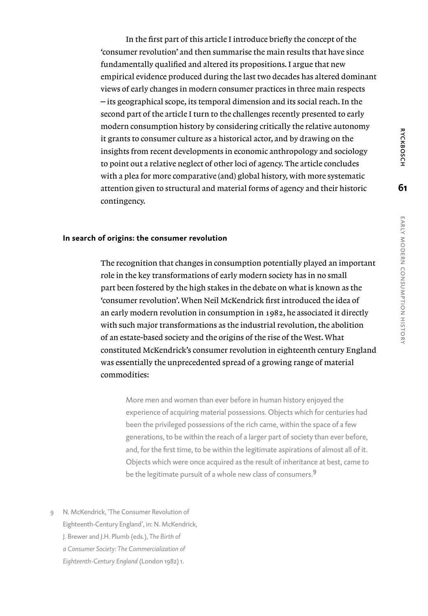In the first part of this article I introduce briefly the concept of the 'consumer revolution' and then summarise the main results that have since fundamentally qualified and altered its propositions. I argue that new empirical evidence produced during the last two decades has altered dominant views of early changes in modern consumer practices in three main respects ‒ its geographical scope, its temporal dimension and its social reach. In the second part of the article I turn to the challenges recently presented to early modern consumption history by considering critically the relative autonomy it grants to consumer culture as a historical actor, and by drawing on the insights from recent developments in economic anthropology and sociology to point out a relative neglect of other loci of agency. The article concludes with a plea for more comparative (and) global history, with more systematic attention given to structural and material forms of agency and their historic contingency.

## **In search of origins: the consumer revolution**

The recognition that changes in consumption potentially played an important role in the key transformations of early modern society has in no small part been fostered by the high stakes in the debate on what is known as the 'consumer revolution'. When Neil McKendrick first introduced the idea of an early modern revolution in consumption in 1982, he associated it directly with such major transformations as the industrial revolution, the abolition of an estate-based society and the origins of the rise of the West. What constituted McKendrick's consumer revolution in eighteenth century England was essentially the unprecedented spread of a growing range of material commodities:

More men and women than ever before in human history enjoyed the experience of acquiring material possessions. Objects which for centuries had been the privileged possessions of the rich came, within the space of a few generations, to be within the reach of a larger part of society than ever before, and, for the first time, to be within the legitimate aspirations of almost all of it. Objects which were once acquired as the result of inheritance at best, came to be the legitimate pursuit of a whole new class of consumers.<sup>9</sup>

9 N. McKendrick, 'The Consumer Revolution of Eighteenth-Century England', in: N. McKendrick, J. Brewer and J.H. Plumb (eds.), *The Birth of a Consumer Society: The Commercialization of Eighteenth-Century England* (London 1982) 1.

**61**

**RYCKBOSCH**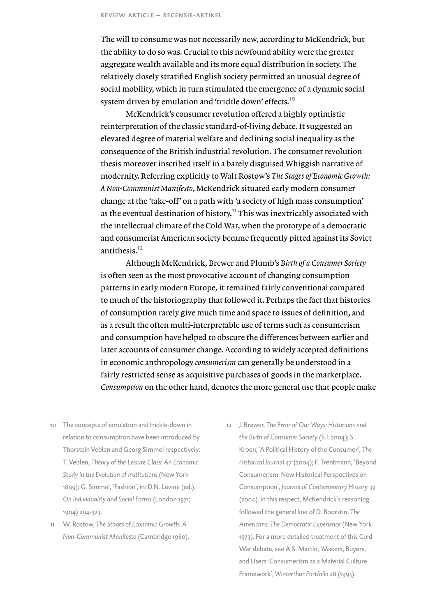The will to consume was not necessarily new, according to McKendrick, but the ability to do so was. Crucial to this newfound ability were the greater aggregate wealth available and its more equal distribution in society. The relatively closely stratified English society permitted an unusual degree of social mobility, which in turn stimulated the emergence of a dynamic social system driven by emulation and 'trickle down' effects.<sup>10</sup>

McKendrick's consumer revolution offered a highly optimistic reinterpretation of the classic standard-of-living debate. It suggested an elevated degree of material welfare and declining social inequality as the consequence of the British industrial revolution. The consumer revolution thesis moreover inscribed itself in a barely disguised Whiggish narrative of modernity. Referring explicitly to Walt Rostow's *The Stages of Economic Growth: A Non-Communist Manifesto*, McKendrick situated early modern consumer change at the *'*take-off' on a path with *'*a society of high mass consumption' as the eventual destination of history.<sup>11</sup> This was inextricably associated with the intellectual climate of the Cold War, when the prototype of a democratic and consumerist American society became frequently pitted against its Soviet antithesis.<sup>12</sup>

Although McKendrick, Brewer and Plumb's *Birth of a Consumer Society*  is often seen as the most provocative account of changing consumption patterns in early modern Europe, it remained fairly conventional compared to much of the historiography that followed it. Perhaps the fact that histories of consumption rarely give much time and space to issues of definition, and as a result the often multi-interpretable use of terms such as consumerism and consumption have helped to obscure the differences between earlier and later accounts of consumer change. According to widely accepted definitions in economic anthropology *consumerism* can generally be understood in a fairly restricted sense as acquisitive purchases of goods in the marketplace. *Consumption* on the other hand, denotes the more general use that people make

- 10 The concepts of emulation and trickle-down in relation to consumption have been introduced by Thorstein Veblen and Georg Simmel respectively: T. Veblen, *Theory of the Leisure Class: An Economic Study in the Evolution of Institutions* (New York 1899); G. Simmel, 'Fashion', in: D.N. Levine (ed.), *On Individuality and Social Forms* (London 1971; 1904) 294-323.
- 11 W. Rostow, *The Stages of Economic Growth: A Non-Communist Manifesto* (Cambridge 1960).
- 12 J. Brewer, *The Error of Our Ways: Historians and the Birth of Consumer Society* (S.l. 2004); S. Kroen, 'A Political History of the Consumer', *The Historical Journal* 47 (2004); F. Trentmann, 'Beyond Consumerism: New Historical Perspectives on Consumption', *Journal of Contemporary History* 39 (2004). In this respect, McKendrick's reasoning followed the general line of D. Boorstin, *The Americans: The Democratic Experience* (New York 1973). For a more detailed treatment of this Cold War debate, see A.S. Martin, 'Makers, Buyers, and Users: Consumerism as a Material Culture Framework', *Winterthur Portfolio* 28 (1993).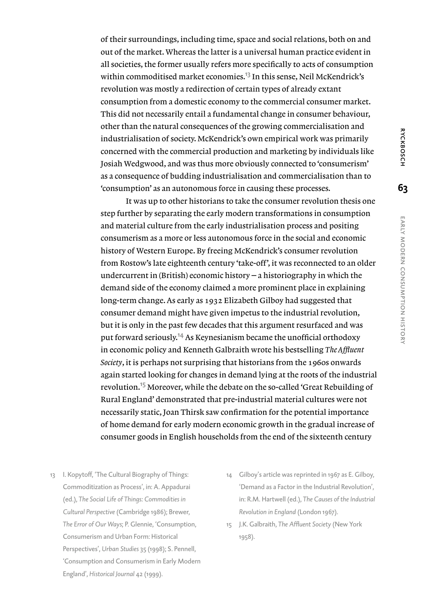of their surroundings, including time, space and social relations, both on and out of the market. Whereas the latter is a universal human practice evident in all societies, the former usually refers more specifically to acts of consumption within commoditised market economies.<sup>13</sup> In this sense, Neil McKendrick's revolution was mostly a redirection of certain types of already extant consumption from a domestic economy to the commercial consumer market. This did not necessarily entail a fundamental change in consumer behaviour, other than the natural consequences of the growing commercialisation and industrialisation of society. McKendrick's own empirical work was primarily concerned with the commercial production and marketing by individuals like Josiah Wedgwood, and was thus more obviously connected to 'consumerism' as a consequence of budding industrialisation and commercialisation than to 'consumption' as an autonomous force in causing these processes.

It was up to other historians to take the consumer revolution thesis one step further by separating the early modern transformations in consumption and material culture from the early industrialisation process and positing consumerism as a more or less autonomous force in the social and economic history of Western Europe. By freeing McKendrick's consumer revolution from Rostow's late eighteenth century 'take-off', it was reconnected to an older undercurrent in (British) economic history  $-a$  historiography in which the demand side of the economy claimed a more prominent place in explaining long-term change. As early as 1932 Elizabeth Gilboy had suggested that consumer demand might have given impetus to the industrial revolution, but it is only in the past few decades that this argument resurfaced and was put forward seriously.14 As Keynesianism became the unofficial orthodoxy in economic policy and Kenneth Galbraith wrote his bestselling *The Affluent Society*, it is perhaps not surprising that historians from the 1960s onwards again started looking for changes in demand lying at the roots of the industrial revolution.15 Moreover, while the debate on the so-called 'Great Rebuilding of Rural England' demonstrated that pre-industrial material cultures were not necessarily static, Joan Thirsk saw confirmation for the potential importance of home demand for early modern economic growth in the gradual increase of consumer goods in English households from the end of the sixteenth century

- 13 I. Kopytoff, 'The Cultural Biography of Things: Commoditization as Process', in: A. Appadurai (ed.), *The Social Life of Things: Commodities in Cultural Perspective* (Cambridge 1986); Brewer, *The Error of Our Ways*; P. Glennie, 'Consumption, Consumerism and Urban Form: Historical Perspectives', *Urban Studies* 35 (1998); S. Pennell, 'Consumption and Consumerism in Early Modern England', *Historical Journal* 42 (1999).
- 14 Gilboy's article was reprinted in 1967 as E. Gilboy, 'Demand as a Factor in the Industrial Revolution', in: R.M. Hartwell (ed.), *The Causes of the Industrial Revolution in England* (London 1967).
- 15 J.K. Galbraith, *The Affluent Society* (New York 1958).

**63**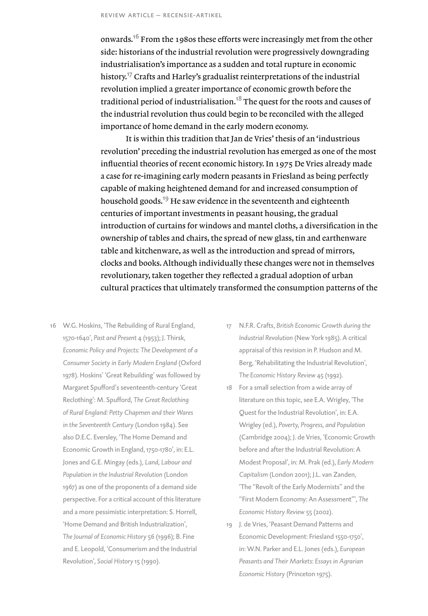onwards.<sup>16</sup> From the 1980s these efforts were increasingly met from the other side: historians of the industrial revolution were progressively downgrading industrialisation's importance as a sudden and total rupture in economic history.<sup>17</sup> Crafts and Harley's gradualist reinterpretations of the industrial revolution implied a greater importance of economic growth before the traditional period of industrialisation.<sup>18</sup> The quest for the roots and causes of the industrial revolution thus could begin to be reconciled with the alleged importance of home demand in the early modern economy.

It is within this tradition that Jan de Vries' thesis of an 'industrious revolution' preceding the industrial revolution has emerged as one of the most influential theories of recent economic history. In 1975 De Vries already made a case for re-imagining early modern peasants in Friesland as being perfectly capable of making heightened demand for and increased consumption of household goods.<sup>19</sup> He saw evidence in the seventeenth and eighteenth centuries of important investments in peasant housing, the gradual introduction of curtains for windows and mantel cloths, a diversification in the ownership of tables and chairs, the spread of new glass, tin and earthenware table and kitchenware, as well as the introduction and spread of mirrors, clocks and books. Although individually these changes were not in themselves revolutionary, taken together they reflected a gradual adoption of urban cultural practices that ultimately transformed the consumption patterns of the

- 16 W.G. Hoskins, 'The Rebuilding of Rural England, 1570-1640', *Past and Present* 4 (1953); J. Thirsk, *Economic Policy and Projects: The Development of a Consumer Society in Early Modern England* (Oxford 1978). Hoskins' 'Great Rebuilding' was followed by Margaret Spufford's seventeenth-century 'Great Reclothing': M. Spufford, *The Great Reclothing of Rural England: Petty Chapmen and their Wares in the Seventeenth Century* (London 1984). See also D.E.C. Eversley, 'The Home Demand and Economic Growth in England, 1750-1780', in: E.L. Jones and G.E. Mingay (eds.), *Land, Labour and Population in the Industrial Revolution* (London 1967) as one of the proponents of a demand side perspective. For a critical account of this literature and a more pessimistic interpretation: S. Horrell, 'Home Demand and British Industrialization', *The Journal of Economic History* 56 (1996); B. Fine and E. Leopold, 'Consumerism and the Industrial Revolution', *Social History* 15 (1990).
- 17 N.F.R. Crafts, *British Economic Growth during the Industrial Revolution* (New York 1985). A critical appraisal of this revision in P. Hudson and M. Berg, 'Rehabilitating the Industrial Revolution', *The Economic History Review* 45 (1992).
- 18 For a small selection from a wide array of literature on this topic, see E.A. Wrigley, 'The Quest for the Industrial Revolution', in: E.A. Wrigley (ed.), *Poverty, Progress, and Population* (Cambridge 2004); J. de Vries, 'Economic Growth before and after the Industrial Revolution: A Modest Proposal', in: M. Prak (ed.), *Early Modern Capitalism* (London 2001); J.L. van Zanden, 'The "Revolt of the Early Modernists" and the "First Modern Economy: An Assessment"', *The Economic History Review* 55 (2002).
- 19 J. de Vries, 'Peasant Demand Patterns and Economic Development: Friesland 1550-1750', in: W.N. Parker and E.L. Jones (eds.), *European Peasants and Their Markets: Essays in Agrarian Economic History* (Princeton 1975).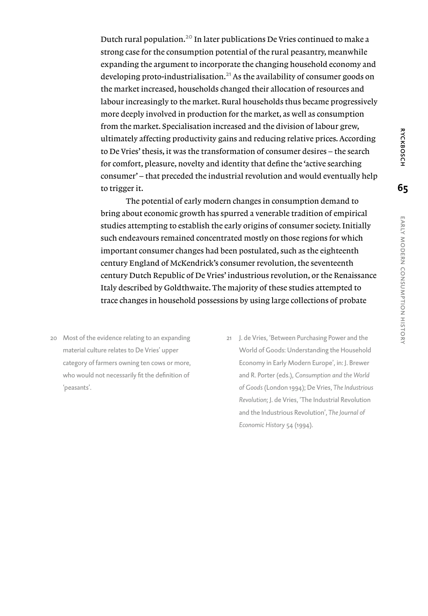Dutch rural population.20 In later publications De Vries continued to make a strong case for the consumption potential of the rural peasantry, meanwhile expanding the argument to incorporate the changing household economy and developing proto-industrialisation. $^{21}$  As the availability of consumer goods on the market increased, households changed their allocation of resources and labour increasingly to the market. Rural households thus became progressively more deeply involved in production for the market, as well as consumption from the market. Specialisation increased and the division of labour grew, ultimately affecting productivity gains and reducing relative prices. According to De Vries' thesis, it was the transformation of consumer desires – the search for comfort, pleasure, novelty and identity that define the 'active searching consumer' – that preceded the industrial revolution and would eventually help to trigger it.

The potential of early modern changes in consumption demand to bring about economic growth has spurred a venerable tradition of empirical studies attempting to establish the early origins of consumer society. Initially such endeavours remained concentrated mostly on those regions for which important consumer changes had been postulated, such as the eighteenth century England of McKendrick's consumer revolution, the seventeenth century Dutch Republic of De Vries' industrious revolution, or the Renaissance Italy described by Goldthwaite. The majority of these studies attempted to trace changes in household possessions by using large collections of probate

- 20 Most of the evidence relating to an expanding material culture relates to De Vries' upper category of farmers owning ten cows or more, who would not necessarily fit the definition of 'peasants'.
- 21 J. de Vries, 'Between Purchasing Power and the World of Goods: Understanding the Household Economy in Early Modern Europe', in: J. Brewer and R. Porter (eds.), *Consumption and the World of Goods* (London 1994); De Vries, *The Industrious Revolution*; J. de Vries, 'The Industrial Revolution and the Industrious Revolution', *The Journal of Economic History* 54 (1994).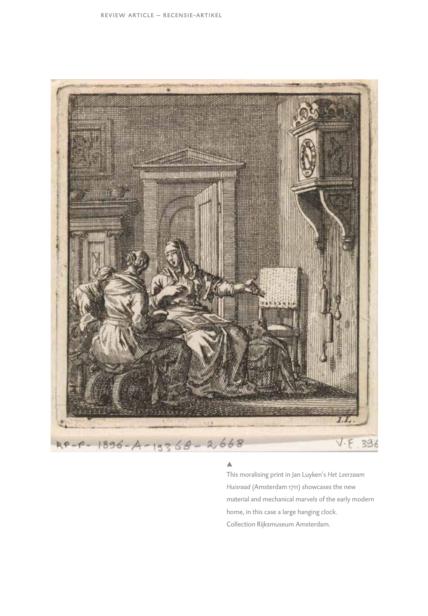

### A

This moralising print in Jan Luyken's *Het Leerzaam Huisraad* (Amsterdam 1711) showcases the new material and mechanical marvels of the early modern home, in this case a large hanging clock. Collection Rijksmuseum Amsterdam.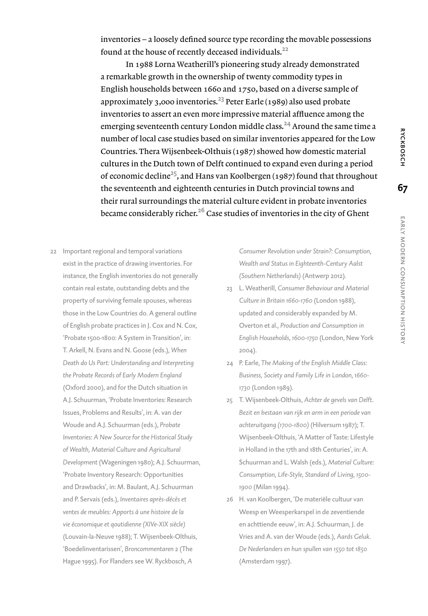inventories – a loosely defined source type recording the movable possessions found at the house of recently deceased individuals.<sup>22</sup>

In 1988 Lorna Weatherill's pioneering study already demonstrated a remarkable growth in the ownership of twenty commodity types in English households between 1660 and 1750, based on a diverse sample of approximately 3,000 inventories.<sup>23</sup> Peter Earle (1989) also used probate inventories to assert an even more impressive material affluence among the emerging seventeenth century London middle class.<sup>24</sup> Around the same time a number of local case studies based on similar inventories appeared for the Low Countries. Thera Wijsenbeek-Olthuis (1987) showed how domestic material cultures in the Dutch town of Delft continued to expand even during a period of economic decline<sup>25</sup>, and Hans van Koolbergen (1987) found that throughout the seventeenth and eighteenth centuries in Dutch provincial towns and their rural surroundings the material culture evident in probate inventories became considerably richer.<sup>26</sup> Case studies of inventories in the city of Ghent

22 Important regional and temporal variations exist in the practice of drawing inventories. For instance, the English inventories do not generally contain real estate, outstanding debts and the property of surviving female spouses, whereas those in the Low Countries do. A general outline of English probate practices in J. Cox and N. Cox, 'Probate 1500-1800: A System in Transition', in: T. Arkell, N. Evans and N. Goose (eds.), *When Death do Us Part: Understanding and Interpreting the Probate Records of Early Modern England* (Oxford 2000), and for the Dutch situation in A.J. Schuurman, 'Probate Inventories: Research Issues, Problems and Results', in: A. van der Woude and A.J. Schuurman (eds.), *Probate Inventories: A New Source for the Historical Study of Wealth, Material Culture and Agricultural Development* (Wageningen 1980); A.J. Schuurman, 'Probate Inventory Research: Opportunities and Drawbacks', in: M. Baulant, A.J. Schuurman and P. Servais (eds.), *Inventaires après-décès et ventes de meubles: Apports à une histoire de la vie économique et qoutidienne (XIVe-XIX siècle)* (Louvain-la-Neuve 1988); T. Wijsenbeek-Olthuis, 'Boedelinventarissen', *Broncommentaren* 2 (The Hague 1995). For Flanders see W. Ryckbosch, *A* 

*Consumer Revolution under Strain?: Consumption, Wealth and Status in Eighteenth-Century Aalst (Southern Netherlands)* (Antwerp 2012).

- 23 L. Weatherill, *Consumer Behaviour and Material Culture in Britain 1660-1760* (London 1988), updated and considerably expanded by M. Overton et al., *Production and Consumption in English Households, 1600-1750* (London, New York 2004).
- 24 P. Earle, *The Making of the English Middle Class: Business, Society and Family Life in London, 1660- 1730* (London 1989).
- 25 T. Wijsenbeek-Olthuis, *Achter de gevels van Delft. Bezit en bestaan van rijk en arm in een periode van achteruitgang (1700-1800)* (Hilversum 1987); T. Wijsenbeek-Olthuis, 'A Matter of Taste: Lifestyle in Holland in the 17th and 18th Centuries', in: A. Schuurman and L. Walsh (eds.), *Material Culture: Consumption, Life-Style, Standard of Living, 1500- 1900* (Milan 1994).
- 26 H. van Koolbergen, 'De materiële cultuur van Weesp en Weesperkarspel in de zeventiende en achttiende eeuw', in: A.J. Schuurman, J. de Vries and A. van der Woude (eds.), *Aards Geluk. De Nederlanders en hun spullen van 1550 tot 1850* (Amsterdam 1997).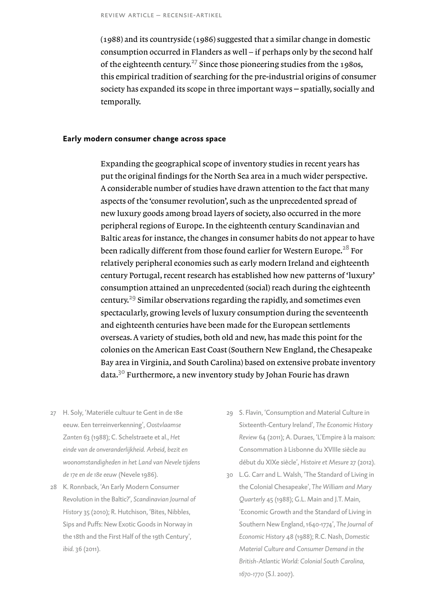(1988) and its countryside (1986) suggested that a similar change in domestic consumption occurred in Flanders as well – if perhaps only by the second half of the eighteenth century.<sup>27</sup> Since those pioneering studies from the 1980s, this empirical tradition of searching for the pre-industrial origins of consumer society has expanded its scope in three important ways – spatially, socially and temporally.

### **Early modern consumer change across space**

Expanding the geographical scope of inventory studies in recent years has put the original findings for the North Sea area in a much wider perspective. A considerable number of studies have drawn attention to the fact that many aspects of the 'consumer revolution', such as the unprecedented spread of new luxury goods among broad layers of society, also occurred in the more peripheral regions of Europe. In the eighteenth century Scandinavian and Baltic areas for instance, the changes in consumer habits do not appear to have been radically different from those found earlier for Western Europe.<sup>28</sup> For relatively peripheral economies such as early modern Ireland and eighteenth century Portugal, recent research has established how new patterns of 'luxury' consumption attained an unprecedented (social) reach during the eighteenth century.29 Similar observations regarding the rapidly, and sometimes even spectacularly, growing levels of luxury consumption during the seventeenth and eighteenth centuries have been made for the European settlements overseas. A variety of studies, both old and new, has made this point for the colonies on the American East Coast (Southern New England, the Chesapeake Bay area in Virginia, and South Carolina) based on extensive probate inventory data.30 Furthermore, a new inventory study by Johan Fourie has drawn

- 27 H. Soly, 'Materiële cultuur te Gent in de 18e eeuw. Een terreinverkenning', *Oostvlaamse Zanten* 63 (1988); C. Schelstraete et al., *Het einde van de onveranderlijkheid. Arbeid, bezit en woonomstandigheden in het Land van Nevele tijdens de 17e en de 18e eeuw* (Nevele 1986).
- 28 K. Ronnback, 'An Early Modern Consumer Revolution in the Baltic?', *Scandinavian Journal of History* 35 (2010); R. Hutchison, 'Bites, Nibbles, Sips and Puffs: New Exotic Goods in Norway in the 18th and the First Half of the 19th Century', *ibid.* 36 (2011).
- 29 S. Flavin, 'Consumption and Material Culture in Sixteenth-Century Ireland', *The Economic History Review* 64 (2011); A. Duraes, 'L'Empire à la maison: Consommation à Lisbonne du XVIIIe siècle au début du XIXe siècle', *Histoire et Mesure* 27 (2012).
- 30 L.G. Carr and L. Walsh, 'The Standard of Living in the Colonial Chesapeake', *The William and Mary Quarterly* 45 (1988); G.L. Main and J.T. Main, 'Economic Growth and the Standard of Living in Southern New England, 1640-1774', *The Journal of Economic History* 48 (1988); R.C. Nash, *Domestic Material Culture and Consumer Demand in the British-Atlantic World: Colonial South Carolina, 1670-1770* (S.l. 2007).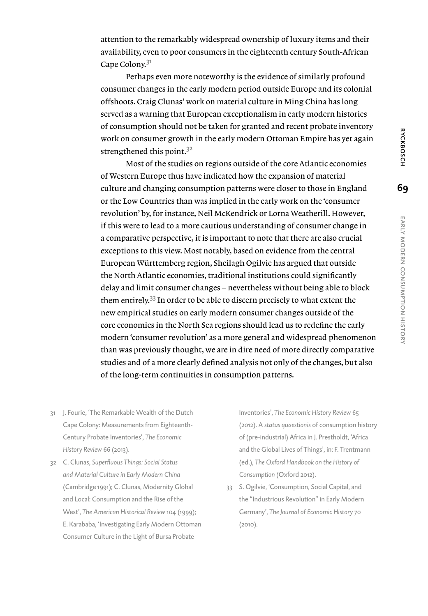attention to the remarkably widespread ownership of luxury items and their availability, even to poor consumers in the eighteenth century South-African Cape Colony.<sup>31</sup>

Perhaps even more noteworthy is the evidence of similarly profound consumer changes in the early modern period outside Europe and its colonial offshoots. Craig Clunas' work on material culture in Ming China has long served as a warning that European exceptionalism in early modern histories of consumption should not be taken for granted and recent probate inventory work on consumer growth in the early modern Ottoman Empire has yet again strengthened this point.<sup>32</sup>

Most of the studies on regions outside of the core Atlantic economies of Western Europe thus have indicated how the expansion of material culture and changing consumption patterns were closer to those in England or the Low Countries than was implied in the early work on the 'consumer revolution' by, for instance, Neil McKendrick or Lorna Weatherill. However, if this were to lead to a more cautious understanding of consumer change in a comparative perspective, it is important to note that there are also crucial exceptions to this view. Most notably, based on evidence from the central European Württemberg region, Sheilagh Ogilvie has argued that outside the North Atlantic economies, traditional institutions could significantly delay and limit consumer changes – nevertheless without being able to block them entirely.33 In order to be able to discern precisely to what extent the new empirical studies on early modern consumer changes outside of the core economies in the North Sea regions should lead us to redefine the early modern 'consumer revolution' as a more general and widespread phenomenon than was previously thought, we are in dire need of more directly comparative studies and of a more clearly defined analysis not only of the changes, but also of the long-term continuities in consumption patterns.

- 31 J. Fourie, 'The Remarkable Wealth of the Dutch Cape Colony: Measurements from Eighteenth-Century Probate Inventories', *The Economic History Review* 66 (2013).
- 32 C. Clunas, *Superfluous Things: Social Status and Material Culture in Early Modern China* (Cambridge 1991); C. Clunas, Modernity Global and Local: Consumption and the Rise of the West', *The American Historical Review* 104 (1999); E. Karababa, 'Investigating Early Modern Ottoman Consumer Culture in the Light of Bursa Probate

Inventories', *The Economic History Review* 65 (2012). A *status quaestionis* of consumption history of (pre-industrial) Africa in J. Prestholdt, 'Africa and the Global Lives of Things', in: F. Trentmann (ed.), *The Oxford Handbook on the History of Consumption* (Oxford 2012).

33 S. Ogilvie, 'Consumption, Social Capital, and the "Industrious Revolution" in Early Modern Germany', *The Journal of Economic History* 70 (2010).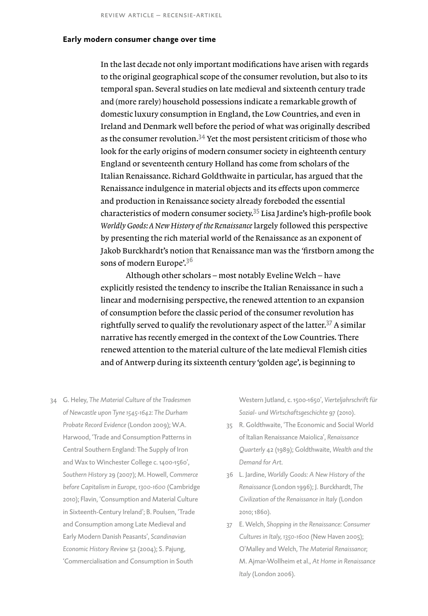## **Early modern consumer change over time**

In the last decade not only important modifications have arisen with regards to the original geographical scope of the consumer revolution, but also to its temporal span. Several studies on late medieval and sixteenth century trade and (more rarely) household possessions indicate a remarkable growth of domestic luxury consumption in England, the Low Countries, and even in Ireland and Denmark well before the period of what was originally described as the consumer revolution.<sup>34</sup> Yet the most persistent criticism of those who look for the early origins of modern consumer society in eighteenth century England or seventeenth century Holland has come from scholars of the Italian Renaissance. Richard Goldthwaite in particular, has argued that the Renaissance indulgence in material objects and its effects upon commerce and production in Renaissance society already foreboded the essential characteristics of modern consumer society.35 Lisa Jardine's high-profile book *Worldly Goods: A New History of the Renaissance* largely followed this perspective by presenting the rich material world of the Renaissance as an exponent of Jakob Burckhardt's notion that Renaissance man was the *'*firstborn among the sons of modern Europe'.<sup>36</sup>

Although other scholars – most notably Eveline Welch – have explicitly resisted the tendency to inscribe the Italian Renaissance in such a linear and modernising perspective, the renewed attention to an expansion of consumption before the classic period of the consumer revolution has rightfully served to qualify the revolutionary aspect of the latter.<sup>37</sup> A similar narrative has recently emerged in the context of the Low Countries. There renewed attention to the material culture of the late medieval Flemish cities and of Antwerp during its sixteenth century 'golden age', is beginning to

34 G. Heley, *The Material Culture of the Tradesmen of Newcastle upon Tyne 1545-1642: The Durham Probate Record Evidence* (London 2009); W.A. Harwood, 'Trade and Consumption Patterns in Central Southern England: The Supply of Iron and Wax to Winchester College c. 1400-1560', *Southern History* 29 (2007); M. Howell, *Commerce before Capitalism in Europe, 1300-1600* (Cambridge 2010); Flavin, 'Consumption and Material Culture in Sixteenth-Century Ireland'; B. Poulsen, 'Trade and Consumption among Late Medieval and Early Modern Danish Peasants', *Scandinavian Economic History Review* 52 (2004); S. Pajung, 'Commercialisation and Consumption in South

Western Jutland, c. 1500-1650', *Vierteljahrschrift für Sozial- und Wirtschaftsgeschichte* 97 (2010).

- 35 R. Goldthwaite, 'The Economic and Social World of Italian Renaissance Maiolica', *Renaissance Quarterly* 42 (1989); Goldthwaite, *Wealth and the Demand for Art*.
- 36 L. Jardine, *Worldly Goods: A New History of the Renaissance* (London 1996); J. Burckhardt, *The Civilization of the Renaissance in Italy* (London 2010; 1860).
- 37 E. Welch, *Shopping in the Renaissance: Consumer Cultures in Italy, 1350-1600* (New Haven 2005); O'Malley and Welch, *The Material Renaissance*; M. Ajmar-Wollheim et al., *At Home in Renaissance Italy* (London 2006).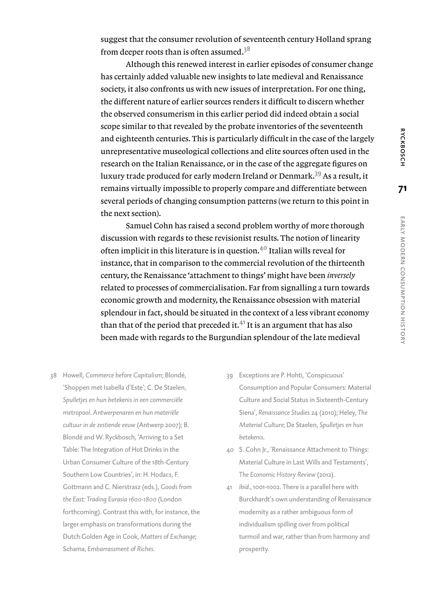**RYCKBOSCH** 

**71**

suggest that the consumer revolution of seventeenth century Holland sprang from deeper roots than is often assumed.<sup>38</sup>

Although this renewed interest in earlier episodes of consumer change has certainly added valuable new insights to late medieval and Renaissance society, it also confronts us with new issues of interpretation. For one thing, the different nature of earlier sources renders it difficult to discern whether the observed consumerism in this earlier period did indeed obtain a social scope similar to that revealed by the probate inventories of the seventeenth and eighteenth centuries. This is particularly difficult in the case of the largely unrepresentative museological collections and elite sources often used in the research on the Italian Renaissance, or in the case of the aggregate figures on luxury trade produced for early modern Ireland or Denmark.39 As a result, it remains virtually impossible to properly compare and differentiate between several periods of changing consumption patterns (we return to this point in the next section).

Samuel Cohn has raised a second problem worthy of more thorough discussion with regards to these revisionist results. The notion of linearity often implicit in this literature is in question.40 Italian wills reveal for instance, that in comparison to the commercial revolution of the thirteenth century, the Renaissance 'attachment to things' might have been *inversely* related to processes of commercialisation. Far from signalling a turn towards economic growth and modernity, the Renaissance obsession with material splendour in fact, should be situated in the context of a less vibrant economy than that of the period that preceded it.<sup>41</sup> It is an argument that has also been made with regards to the Burgundian splendour of the late medieval

- 38 Howell, *Commerce before Capitalism*; Blondé, 'Shoppen met Isabella d'Este'; C. De Staelen, *Spulletjes en hun betekenis in een commerciële metropool. Antwerpenaren en hun materiële cultuur in de zestiende eeuw* (Antwerp 2007); B. Blondé and W. Ryckbosch, 'Arriving to a Set Table: The Integration of Hot Drinks in the Urban Consumer Culture of the 18th-Century Southern Low Countries', in: H. Hodacs, F. Gottmann and C. Nierstrasz (eds.), *Goods from the East: Trading Eurasia 1600-1800* (London forthcoming). Contrast this with, for instance, the larger emphasis on transformations during the Dutch Golden Age in Cook, *Matters of Exchange*; Schama, *Embarrassment of Riches*.
- 39 Exceptions are P. Hohti, 'Conspicuous' Consumption and Popular Consumers: Material Culture and Social Status in Sixteenth-Century Siena', *Renaissance Studies* 24 (2010); Heley, *The Material Culture*; De Staelen, *Spulletjes en hun betekenis*.
- 40 S. Cohn Jr., 'Renaissance Attachment to Things: Material Culture in Last Wills and Testaments', *The Economic History Review* (2012).
- 41 *Ibid*., 1001-1002. There is a parallel here with Burckhardt's own understanding of Renaissance modernity as a rather ambiguous form of individualism spilling over from political turmoil and war, rather than from harmony and prosperity.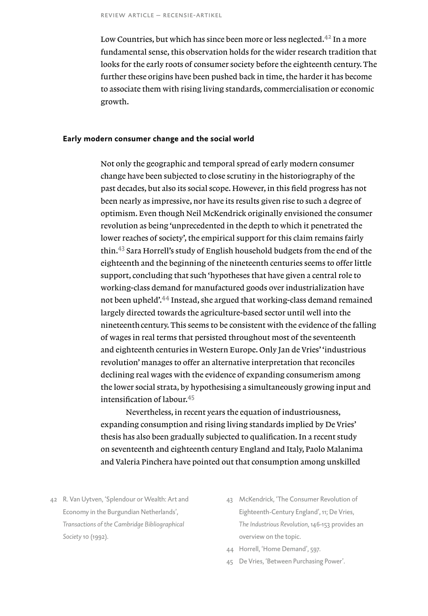Low Countries, but which has since been more or less neglected.<sup>42</sup> In a more fundamental sense, this observation holds for the wider research tradition that looks for the early roots of consumer society before the eighteenth century. The further these origins have been pushed back in time, the harder it has become to associate them with rising living standards, commercialisation or economic growth.

### **Early modern consumer change and the social world**

Not only the geographic and temporal spread of early modern consumer change have been subjected to close scrutiny in the historiography of the past decades, but also its social scope. However, in this field progress has not been nearly as impressive, nor have its results given rise to such a degree of optimism. Even though Neil McKendrick originally envisioned the consumer revolution as being 'unprecedented in the depth to which it penetrated the lower reaches of society', the empirical support for this claim remains fairly thin.43 Sara Horrell's study of English household budgets from the end of the eighteenth and the beginning of the nineteenth centuries seems to offer little support, concluding that such 'hypotheses that have given a central role to working-class demand for manufactured goods over industrialization have not been upheld'.44 Instead, she argued that working-class demand remained largely directed towards the agriculture-based sector until well into the nineteenth century. This seems to be consistent with the evidence of the falling of wages in real terms that persisted throughout most of the seventeenth and eighteenth centuries in Western Europe. Only Jan de Vries' 'industrious revolution' manages to offer an alternative interpretation that reconciles declining real wages with the evidence of expanding consumerism among the lower social strata, by hypothesising a simultaneously growing input and intensification of labour.<sup>45</sup>

Nevertheless, in recent years the equation of industriousness, expanding consumption and rising living standards implied by De Vries' thesis has also been gradually subjected to qualification. In a recent study on seventeenth and eighteenth century England and Italy, Paolo Malanima and Valeria Pinchera have pointed out that consumption among unskilled

- 42 R. Van Uytven, 'Splendour or Wealth: Art and Economy in the Burgundian Netherlands', *Transactions of the Cambridge Bibliographical Society* 10 (1992).
- 43 McKendrick, 'The Consumer Revolution of Eighteenth-Century England', 11; De Vries, *The Industrious Revolution*, 146-153 provides an overview on the topic.
- 44 Horrell, 'Home Demand', 597.
- 45 De Vries, 'Between Purchasing Power'.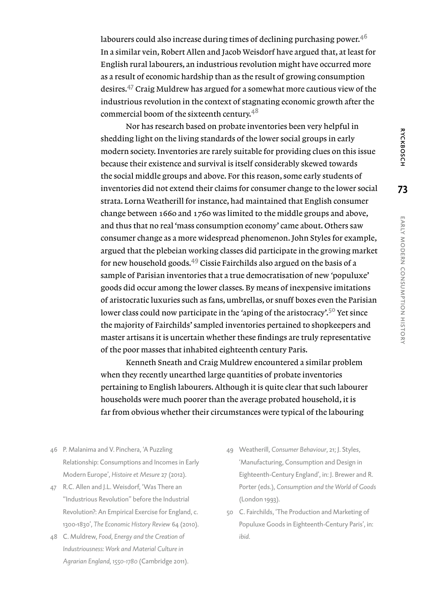labourers could also increase during times of declining purchasing power. $4<sup>6</sup>$ In a similar vein, Robert Allen and Jacob Weisdorf have argued that, at least for English rural labourers, an industrious revolution might have occurred more as a result of economic hardship than as the result of growing consumption desires.47 Craig Muldrew has argued for a somewhat more cautious view of the industrious revolution in the context of stagnating economic growth after the commercial boom of the sixteenth century.<sup>48</sup>

Nor has research based on probate inventories been very helpful in shedding light on the living standards of the lower social groups in early modern society. Inventories are rarely suitable for providing clues on this issue because their existence and survival is itself considerably skewed towards the social middle groups and above. For this reason, some early students of inventories did not extend their claims for consumer change to the lower social strata. Lorna Weatherill for instance, had maintained that English consumer change between 1660 and 1760 was limited to the middle groups and above, and thus that no real 'mass consumption economy' came about. Others saw consumer change as a more widespread phenomenon. John Styles for example, argued that the plebeian working classes did participate in the growing market for new household goods.49 Cissie Fairchilds also argued on the basis of a sample of Parisian inventories that a true democratisation of new *'*populuxe' goods did occur among the lower classes. By means of inexpensive imitations of aristocratic luxuries such as fans, umbrellas, or snuff boxes even the Parisian lower class could now participate in the *'*aping of the aristocracy'.50 Yet since the majority of Fairchilds' sampled inventories pertained to shopkeepers and master artisans it is uncertain whether these findings are truly representative of the poor masses that inhabited eighteenth century Paris.

Kenneth Sneath and Craig Muldrew encountered a similar problem when they recently unearthed large quantities of probate inventories pertaining to English labourers. Although it is quite clear that such labourer households were much poorer than the average probated household, it is far from obvious whether their circumstances were typical of the labouring

- 46 P. Malanima and V. Pinchera, 'A Puzzling Relationship: Consumptions and Incomes in Early Modern Europe', *Histoire et Mesure* 27 (2012).
- 47 R.C. Allen and J.L. Weisdorf, 'Was There an "Industrious Revolution" before the Industrial Revolution?: An Empirical Exercise for England, c. 1300-1830', *The Economic History Review* 64 (2010).
- 48 C. Muldrew, *Food, Energy and the Creation of Industriousness: Work and Material Culture in Agrarian England, 1550-1780* (Cambridge 2011).
- 49 Weatherill, *Consumer Behaviour*, 21; J. Styles, 'Manufacturing, Consumption and Design in Eighteenth-Century England', in: J. Brewer and R. Porter (eds.), *Consumption and the World of Goods* (London 1993).
- 50 C. Fairchilds, 'The Production and Marketing of Populuxe Goods in Eighteenth-Century Paris', in: *ibid.*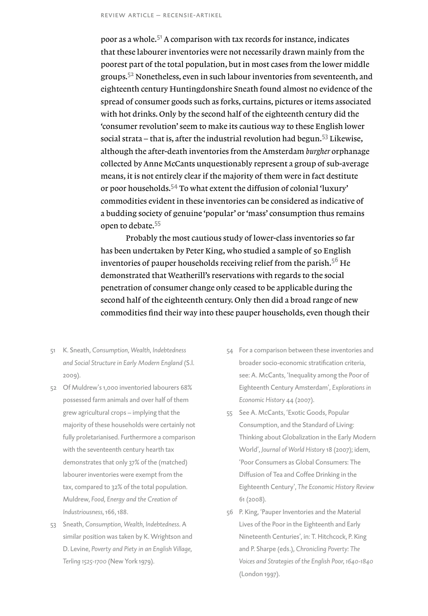poor as a whole.<sup>51</sup> A comparison with tax records for instance, indicates that these labourer inventories were not necessarily drawn mainly from the poorest part of the total population, but in most cases from the lower middle groups.<sup>52</sup> Nonetheless, even in such labour inventories from seventeenth, and eighteenth century Huntingdonshire Sneath found almost no evidence of the spread of consumer goods such as forks, curtains, pictures or items associated with hot drinks. Only by the second half of the eighteenth century did the 'consumer revolution' seem to make its cautious way to these English lower social strata – that is, after the industrial revolution had begun.<sup>53</sup> Likewise, although the after-death inventories from the Amsterdam *burgher* orphanage collected by Anne McCants unquestionably represent a group of sub-average means, it is not entirely clear if the majority of them were in fact destitute or poor households.54 To what extent the diffusion of colonial 'luxury' commodities evident in these inventories can be considered as indicative of a budding society of genuine 'popular' or 'mass' consumption thus remains open to debate.<sup>55</sup>

Probably the most cautious study of lower-class inventories so far has been undertaken by Peter King, who studied a sample of 50 English inventories of pauper households receiving relief from the parish.<sup>56</sup> He demonstrated that Weatherill's reservations with regards to the social penetration of consumer change only ceased to be applicable during the second half of the eighteenth century. Only then did a broad range of new commodities find their way into these pauper households, even though their

- 51 K. Sneath, *Consumption, Wealth, Indebtedness and Social Structure in Early Modern England* (S.l. 2009).
- 52 Of Muldrew's 1,000 inventoried labourers 68% possessed farm animals and over half of them grew agricultural crops – implying that the majority of these households were certainly not fully proletarianised. Furthermore a comparison with the seventeenth century hearth tax demonstrates that only 37% of the (matched) labourer inventories were exempt from the tax, compared to 32% of the total population. Muldrew, *Food, Energy and the Creation of Industriousness*, 166, 188.
- 53 Sneath, *Consumption, Wealth, Indebtedness*. A similar position was taken by K. Wrightson and D. Levine, *Poverty and Piety in an English Village, Terling 1525-1700* (New York 1979).
- 54 For a comparison between these inventories and broader socio-economic stratification criteria, see: A. McCants, 'Inequality among the Poor of Eighteenth Century Amsterdam', *Explorations in Economic History* 44 (2007).
- 55 See A. McCants, 'Exotic Goods, Popular Consumption, and the Standard of Living: Thinking about Globalization in the Early Modern World', *Journal of World History* 18 (2007); idem, 'Poor Consumers as Global Consumers: The Diffusion of Tea and Coffee Drinking in the Eighteenth Century', *The Economic History Review*  61 (2008).
- 56 P. King, 'Pauper Inventories and the Material Lives of the Poor in the Eighteenth and Early Nineteenth Centuries', in: T. Hitchcock, P. King and P. Sharpe (eds.), *Chronicling Poverty: The Voices and Strategies of the English Poor, 1640-1840* (London 1997).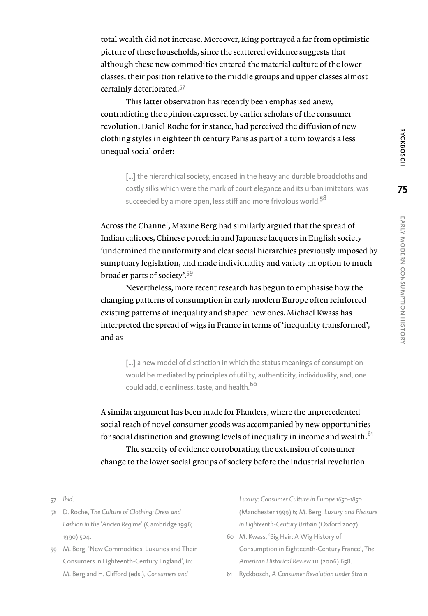total wealth did not increase. Moreover, King portrayed a far from optimistic picture of these households, since the scattered evidence suggests that although these new commodities entered the material culture of the lower classes, their position relative to the middle groups and upper classes almost certainly deteriorated.<sup>57</sup>

This latter observation has recently been emphasised anew, contradicting the opinion expressed by earlier scholars of the consumer revolution. Daniel Roche for instance, had perceived the diffusion of new clothing styles in eighteenth century Paris as part of a turn towards a less unequal social order:

[...] the hierarchical society, encased in the heavy and durable broadcloths and costly silks which were the mark of court elegance and its urban imitators, was succeeded by a more open, less stiff and more frivolous world.<sup>58</sup>

Across the Channel, Maxine Berg had similarly argued that the spread of Indian calicoes, Chinese porcelain and Japanese lacquers in English society *'*undermined the uniformity and clear social hierarchies previously imposed by sumptuary legislation, and made individuality and variety an option to much broader parts of society'.<sup>59</sup>

Nevertheless, more recent research has begun to emphasise how the changing patterns of consumption in early modern Europe often reinforced existing patterns of inequality and shaped new ones. Michael Kwass has interpreted the spread of wigs in France in terms of'inequality transformed'*,*  and as

[...] a new model of distinction in which the status meanings of consumption would be mediated by principles of utility, authenticity, individuality, and, one could add, cleanliness, taste, and health.<sup>60</sup>

A similar argument has been made for Flanders, where the unprecedented social reach of novel consumer goods was accompanied by new opportunities for social distinction and growing levels of inequality in income and wealth.<sup>61</sup> The scarcity of evidence corroborating the extension of consumer change to the lower social groups of society before the industrial revolution

57 *Ibid*.

- 58 D. Roche, *The Culture of Clothing: Dress and Fashion in the* '*Ancien Regime*' (Cambridge 1996; 1990) 504.
- 59 M. Berg, 'New Commodities, Luxuries and Their Consumers in Eighteenth-Century England', in: M. Berg and H. Clifford (eds.), *Consumers and*

*Luxury: Consumer Culture in Europe 1650-1850* (Manchester 1999) 6; M. Berg, *Luxury and Pleasure in Eighteenth-Century Britain* (Oxford 2007).

- 60 M. Kwass, 'Big Hair: A Wig History of Consumption in Eighteenth-Century France', *The American Historical Review* 111 (2006) 658.
- 61 Ryckbosch, *A Consumer Revolution under Strain*.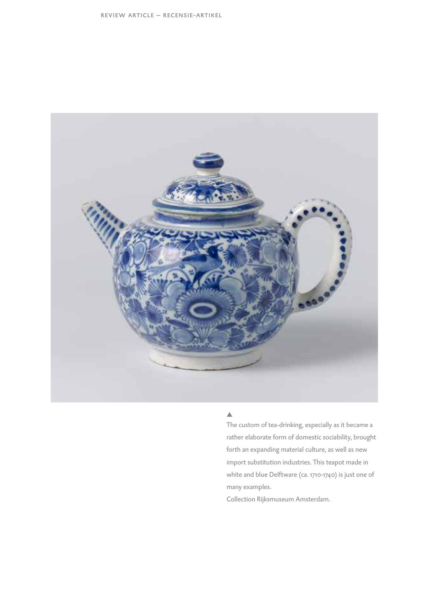

### $\blacktriangle$  .

The custom of tea-drinking, especially as it became a rather elaborate form of domestic sociability, brought forth an expanding material culture, as well as new import substitution industries. This teapot made in white and blue Delftware (ca. 1710-1740) is just one of many examples.

Collection Rijksmuseum Amsterdam.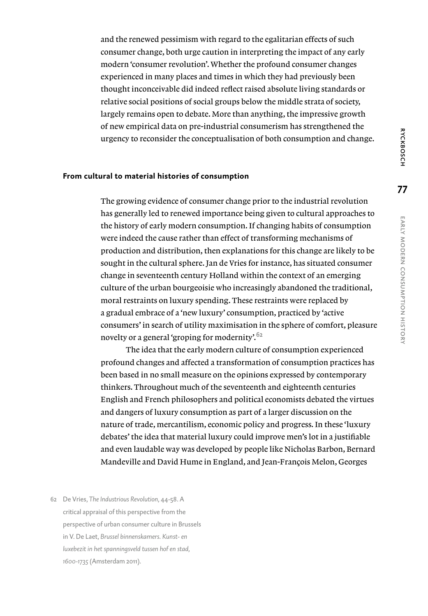and the renewed pessimism with regard to the egalitarian effects of such consumer change, both urge caution in interpreting the impact of any early modern 'consumer revolution'. Whether the profound consumer changes experienced in many places and times in which they had previously been thought inconceivable did indeed reflect raised absolute living standards or relative social positions of social groups below the middle strata of society, largely remains open to debate. More than anything, the impressive growth of new empirical data on pre-industrial consumerism has strengthened the urgency to reconsider the conceptualisation of both consumption and change.

#### **From cultural to material histories of consumption**

The growing evidence of consumer change prior to the industrial revolution has generally led to renewed importance being given to cultural approaches to the history of early modern consumption. If changing habits of consumption were indeed the cause rather than effect of transforming mechanisms of production and distribution, then explanations for this change are likely to be sought in the cultural sphere. Jan de Vries for instance, has situated consumer change in seventeenth century Holland within the context of an emerging culture of the urban bourgeoisie who increasingly abandoned the traditional, moral restraints on luxury spending. These restraints were replaced by a gradual embrace of a 'new luxury' consumption, practiced by 'active consumers' in search of utility maximisation in the sphere of comfort, pleasure novelty or a general 'groping for modernity'.<sup>62</sup>

The idea that the early modern culture of consumption experienced profound changes and affected a transformation of consumption practices has been based in no small measure on the opinions expressed by contemporary thinkers. Throughout much of the seventeenth and eighteenth centuries English and French philosophers and political economists debated the virtues and dangers of luxury consumption as part of a larger discussion on the nature of trade, mercantilism, economic policy and progress. In these 'luxury debates' the idea that material luxury could improve men's lot in a justifiable and even laudable way was developed by people like Nicholas Barbon, Bernard Mandeville and David Hume in England, and Jean-François Melon, Georges

62 De Vries, *The Industrious Revolution*, 44-58. A critical appraisal of this perspective from the perspective of urban consumer culture in Brussels in V. De Laet, *Brussel binnenskamers. Kunst- en luxebezit in het spanningsveld tussen hof en stad, 1600-1735* (Amsterdam 2011).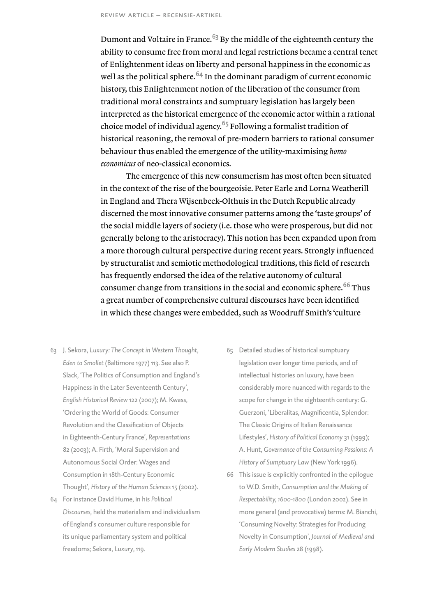Dumont and Voltaire in France.<sup>63</sup> By the middle of the eighteenth century the ability to consume free from moral and legal restrictions became a central tenet of Enlightenment ideas on liberty and personal happiness in the economic as well as the political sphere.  $64$  In the dominant paradigm of current economic history, this Enlightenment notion of the liberation of the consumer from traditional moral constraints and sumptuary legislation has largely been interpreted as the historical emergence of the economic actor within a rational choice model of individual agency.<sup>65</sup> Following a formalist tradition of historical reasoning, the removal of pre-modern barriers to rational consumer behaviour thus enabled the emergence of the utility-maximising *homo economicus* of neo-classical economics.

The emergence of this new consumerism has most often been situated in the context of the rise of the bourgeoisie. Peter Earle and Lorna Weatherill in England and Thera Wijsenbeek-Olthuis in the Dutch Republic already discerned the most innovative consumer patterns among the 'taste groups' of the social middle layers of society (i.e. those who were prosperous, but did not generally belong to the aristocracy). This notion has been expanded upon from a more thorough cultural perspective during recent years. Strongly influenced by structuralist and semiotic methodological traditions, this field of research has frequently endorsed the idea of the relative autonomy of cultural consumer change from transitions in the social and economic sphere.<sup>66</sup> Thus a great number of comprehensive cultural discourses have been identified in which these changes were embedded, such as Woodruff Smith's 'culture

- 63 J. Sekora, *Luxury: The Concept in Western Thought, Eden to Smollet* (Baltimore 1977) 113. See also P. Slack, 'The Politics of Consumption and England's Happiness in the Later Seventeenth Century', *English Historical Review* 122 (2007); M. Kwass, 'Ordering the World of Goods: Consumer Revolution and the Classification of Objects in Eighteenth-Century France', *Representations*  82 (2003); A. Firth, 'Moral Supervision and Autonomous Social Order: Wages and Consumption in 18th-Century Economic Thought', *History of the Human Sciences* 15 (2002).
- 64 For instance David Hume, in his *Political Discourses*, held the materialism and individualism of England's consumer culture responsible for its unique parliamentary system and political freedoms; Sekora, *Luxury*, 119.
- 65 Detailed studies of historical sumptuary legislation over longer time periods, and of intellectual histories on luxury, have been considerably more nuanced with regards to the scope for change in the eighteenth century: G. Guerzoni, 'Liberalitas, Magnificentia, Splendor: The Classic Origins of Italian Renaissance Lifestyles', *History of Political Economy* 31 (1999); A. Hunt, *Governance of the Consuming Passions: A History of Sumptuary Law* (New York 1996).
- 66 This issue is explicitly confronted in the epilogue to W.D. Smith, *Consumption and the Making of Respectability, 1600-1800* (London 2002). See in more general (and provocative) terms: M. Bianchi, 'Consuming Novelty: Strategies for Producing Novelty in Consumption', *Journal of Medieval and Early Modern Studies* 28 (1998).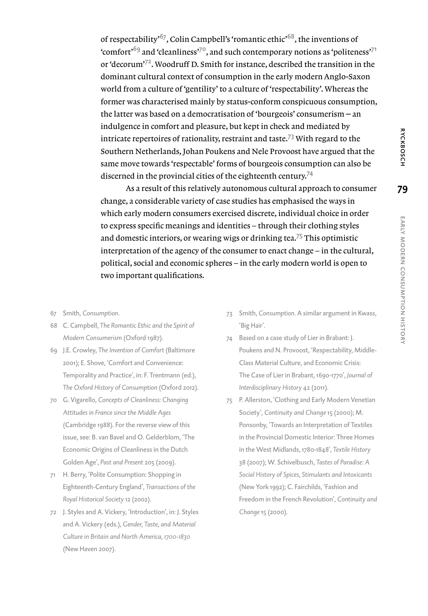of respectability'67, Colin Campbell's 'romantic ethic'68, the inventions of 'comfort'<sup>69</sup> and 'cleanliness'<sup>70</sup>, and such contemporary notions as 'politeness'<sup>71</sup> or 'decorum'72. Woodruff D. Smith for instance, described the transition in the dominant cultural context of consumption in the early modern Anglo-Saxon world from a culture of 'gentility' to a culture of 'respectability'. Whereas the former was characterised mainly by status-conform conspicuous consumption, the latter was based on a democratisation of 'bourgeois' consumerism  $-$  an indulgence in comfort and pleasure, but kept in check and mediated by intricate repertoires of rationality, restraint and taste.<sup>73</sup> With regard to the Southern Netherlands, Johan Poukens and Nele Provoost have argued that the same move towards 'respectable' forms of bourgeois consumption can also be discerned in the provincial cities of the eighteenth century.<sup>74</sup>

As a result of this relatively autonomous cultural approach to consumer change, a considerable variety of case studies has emphasised the ways in which early modern consumers exercised discrete, individual choice in order to express specific meanings and identities – through their clothing styles and domestic interiors, or wearing wigs or drinking tea.<sup>75</sup> This optimistic interpretation of the agency of the consumer to enact change – in the cultural, political, social and economic spheres – in the early modern world is open to two important qualifications.

- 67 Smith, *Consumption*.
- 68 C. Campbell, *The Romantic Ethic and the Spirit of Modern Consumerism* (Oxford 1987).
- 69 J.E. Crowley, *The Invention of Comfort* (Baltimore 2001); E. Shove, 'Comfort and Convenience: Temporality and Practice', in: F. Trentmann (ed.), *The Oxford History of Consumption* (Oxford 2012).
- 70 G. Vigarello, *Concepts of Cleanliness: Changing Attitudes in France since the Middle Ages* (Cambridge 1988). For the reverse view of this issue, see: B. van Bavel and O. Gelderblom, 'The Economic Origins of Cleanliness in the Dutch Golden Age', *Past and Present* 205 (2009).
- 71 H. Berry, 'Polite Consumption: Shopping in Eighteenth-Century England', *Transactions of the Royal Historical Society* 12 (2002).
- 72 J. Styles and A. Vickery, 'Introduction', in: J. Styles and A. Vickery (eds.), *Gender, Taste, and Material Culture in Britain and North America, 1700-1830* (New Haven 2007).
- 73 Smith, *Consumption*. A similar argument in Kwass, 'Big Hair'.
- 74 Based on a case study of Lier in Brabant: J. Poukens and N. Provoost, 'Respectability, Middle-Class Material Culture, and Economic Crisis: The Case of Lier in Brabant, 1690-1770', *Journal of Interdisciplinary History* 42 (2011).
- 75 P. Allerston, 'Clothing and Early Modern Venetian Society', *Continuity and Change* 15 (2000); M. Ponsonby, 'Towards an Interpretation of Textiles in the Provincial Domestic Interior: Three Homes in the West Midlands, 1780-1848', *Textile History*  38 (2007); W. Schivelbusch, *Tastes of Paradise: A Social History of Spices, Stimulants and Intoxicants* (New York 1992); C. Fairchilds, 'Fashion and Freedom in the French Revolution', *Continuity and Change* 15 (2000).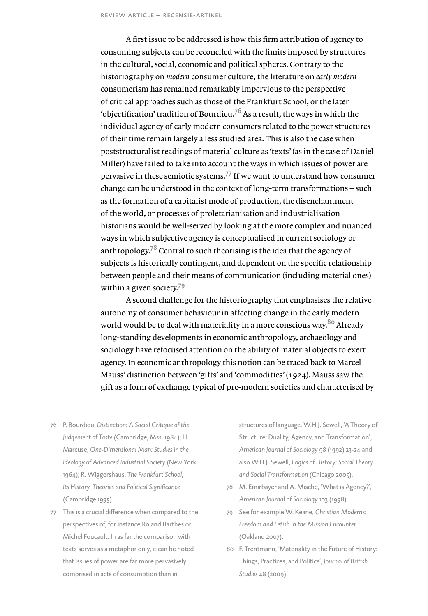A first issue to be addressed is how this firm attribution of agency to consuming subjects can be reconciled with the limits imposed by structures in the cultural, social, economic and political spheres. Contrary to the historiography on *modern* consumer culture, the literature on *early modern* consumerism has remained remarkably impervious to the perspective of critical approaches such as those of the Frankfurt School, or the later 'objectification' tradition of Bourdieu.<sup>76</sup> As a result, the ways in which the individual agency of early modern consumers related to the power structures of their time remain largely a less studied area. This is also the case when poststructuralist readings of material culture as 'texts' (as in the case of Daniel Miller) have failed to take into account the ways in which issues of power are pervasive in these semiotic systems.<sup>77</sup> If we want to understand how consumer change can be understood in the context of long-term transformations – such as the formation of a capitalist mode of production, the disenchantment of the world, or processes of proletarianisation and industrialisation – historians would be well-served by looking at the more complex and nuanced ways in which subjective agency is conceptualised in current sociology or anthropology.<sup>78</sup> Central to such theorising is the idea that the agency of subjects is historically contingent, and dependent on the specific relationship between people and their means of communication (including material ones) within a given society.<sup>79</sup>

A second challenge for the historiography that emphasises the relative autonomy of consumer behaviour in affecting change in the early modern world would be to deal with materiality in a more conscious way.<sup>80</sup> Already long-standing developments in economic anthropology, archaeology and sociology have refocused attention on the ability of material objects to exert agency. In economic anthropology this notion can be traced back to Marcel Mauss' distinction between 'gifts' and 'commodities' (1924). Mauss saw the gift as a form of exchange typical of pre-modern societies and characterised by

- 76 P. Bourdieu, *Distinction: A Social Critique of the Judgement of Taste* (Cambridge, Mss. 1984); H. Marcuse, *One-Dimensional Man: Studies in the Ideology of Advanced Industrial Society* (New York 1964); R. Wiggershaus, *The Frankfurt School, Its History, Theories and Political Significance* (Cambridge 1995).
- 77 This is a crucial difference when compared to the perspectives of, for instance Roland Barthes or Michel Foucault. In as far the comparison with texts serves as a metaphor only, it can be noted that issues of power are far more pervasively comprised in acts of consumption than in

structures of language. W.H.J. Sewell, 'A Theory of Structure: Duality, Agency, and Transformation', *American Journal of Sociology* 98 (1992) 23-24 and also W.H.J. Sewell, *Logics of History: Social Theory and Social Transformation* (Chicago 2005).

- 78 M. Emirbayer and A. Mische, 'What is Agency?', *American Journal of Sociology* 103 (1998).
- 79 See for example W. Keane, *Christian Moderns: Freedom and Fetish in the Mission Encounter* (Oakland 2007).
- 80 F. Trentmann, 'Materiality in the Future of History: Things, Practices, and Politics', *Journal of British Studies* 48 (2009).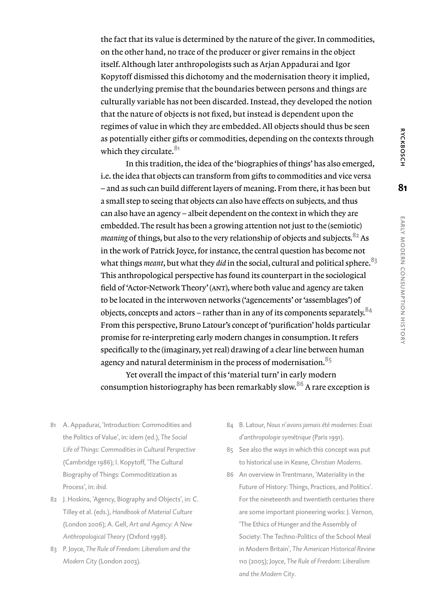the fact that its value is determined by the nature of the giver. In commodities, on the other hand, no trace of the producer or giver remains in the object itself. Although later anthropologists such as Arjan Appadurai and Igor Kopytoff dismissed this dichotomy and the modernisation theory it implied, the underlying premise that the boundaries between persons and things are culturally variable has not been discarded. Instead, they developed the notion that the nature of objects is not fixed, but instead is dependent upon the regimes of value in which they are embedded. All objects should thus be seen as potentially either gifts or commodities, depending on the contexts through which they circulate.<sup>81</sup>

In this tradition, the idea of the 'biographies of things' has also emerged, i.e. the idea that objects can transform from gifts to commodities and vice versa – and as such can build different layers of meaning. From there, it has been but a small step to seeing that objects can also have effects on subjects, and thus can also have an agency – albeit dependent on the context in which they are embedded. The result has been a growing attention not just to the (semiotic) *meaning* of things, but also to the very relationship of objects and subjects.  $82$  As in the work of Patrick Joyce, for instance, the central question has become not what things *meant*, but what they *did* in the social, cultural and political sphere.<sup>83</sup> This anthropological perspective has found its counterpart in the sociological field of 'Actor-Network Theory' (ant), where both value and agency are taken to be located in the interwoven networks ('agencements' or 'assemblages') of objects, concepts and actors – rather than in any of its components separately.  $84$ From this perspective, Bruno Latour's concept of 'purification' holds particular promise for re-interpreting early modern changes in consumption. It refers specifically to the (imaginary, yet real) drawing of a clear line between human agency and natural determinism in the process of modernisation.  $85$ 

Yet overall the impact of this 'material turn' in early modern consumption historiography has been remarkably slow.<sup>86</sup> A rare exception is

- 81 A. Appadurai, 'Introduction: Commodities and the Politics of Value', in: idem (ed.), *The Social Life of Things: Commodities in Cultural Perspective* (Cambridge 1986); I. Kopytoff, 'The Cultural Biography of Things: Commoditization as Process', in: *ibid.*
- 82 J. Hoskins, 'Agency, Biography and Objects', in: C. Tilley et al. (eds.), *Handbook of Material Culture* (London 2006); A. Gell, *Art and Agency: A New Anthropological Theory* (Oxford 1998).
- 83 P. Joyce, *The Rule of Freedom: Liberalism and the Modern City* (London 2003).
- 84 B. Latour, *Nous n*'*avons jamais été modernes: Essai d*'*anthropologie symétrique* (Paris 1991).
- 85 See also the ways in which this concept was put to historical use in Keane, *Christian Moderns*.
- 86 An overview in Trentmann, 'Materiality in the Future of History: Things, Practices, and Politics'. For the nineteenth and twentieth centuries there are some important pioneering works: J. Vernon, 'The Ethics of Hunger and the Assembly of Society: The Techno-Politics of the School Meal in Modern Britain', *The American Historical Review*  110 (2005); Joyce, *The Rule of Freedom: Liberalism and the Modern City*.

**81**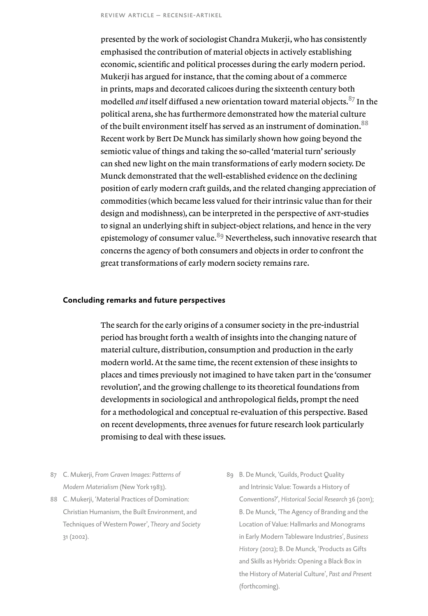presented by the work of sociologist Chandra Mukerji, who has consistently emphasised the contribution of material objects in actively establishing economic, scientific and political processes during the early modern period. Mukerji has argued for instance, that the coming about of a commerce in prints, maps and decorated calicoes during the sixteenth century both modelled *and* itself diffused a new orientation toward material objects.<sup>87</sup> In the political arena, she has furthermore demonstrated how the material culture of the built environment itself has served as an instrument of domination.<sup>88</sup> Recent work by Bert De Munck has similarly shown how going beyond the semiotic value of things and taking the so-called 'material turn' seriously can shed new light on the main transformations of early modern society. De Munck demonstrated that the well-established evidence on the declining position of early modern craft guilds, and the related changing appreciation of commodities (which became less valued for their intrinsic value than for their design and modishness), can be interpreted in the perspective of ant-studies to signal an underlying shift in subject-object relations, and hence in the very epistemology of consumer value.<sup>89</sup> Nevertheless, such innovative research that concerns the agency of both consumers and objects in order to confront the great transformations of early modern society remains rare.

## **Concluding remarks and future perspectives**

The search for the early origins of a consumer society in the pre-industrial period has brought forth a wealth of insights into the changing nature of material culture, distribution, consumption and production in the early modern world. At the same time, the recent extension of these insights to places and times previously not imagined to have taken part in the 'consumer revolution', and the growing challenge to its theoretical foundations from developments in sociological and anthropological fields, prompt the need for a methodological and conceptual re-evaluation of this perspective. Based on recent developments, three avenues for future research look particularly promising to deal with these issues.

- 87 C. Mukerji, *From Graven Images: Patterns of Modern Materialism* (New York 1983).
- 88 C. Mukerii, 'Material Practices of Domination: Christian Humanism, the Built Environment, and Techniques of Western Power', *Theory and Society*  31 (2002).
- 89 B. De Munck, 'Guilds, Product Quality and Intrinsic Value: Towards a History of Conventions?', *Historical Social Research* 36 (2011); B. De Munck, 'The Agency of Branding and the Location of Value: Hallmarks and Monograms in Early Modern Tableware Industries', *Business History* (2012); B. De Munck, 'Products as Gifts and Skills as Hybrids: Opening a Black Box in the History of Material Culture', *Past and Present*  (forthcoming).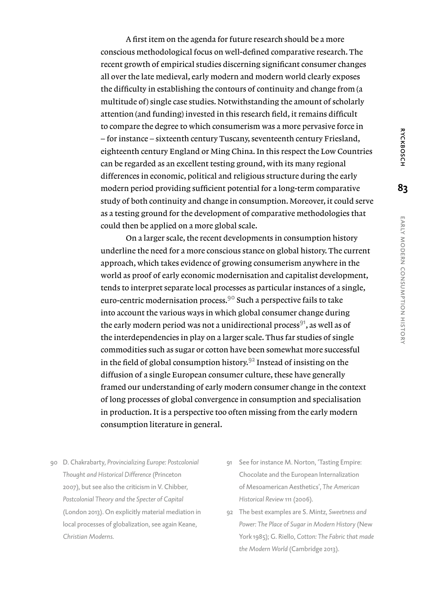A first item on the agenda for future research should be a more conscious methodological focus on well-defined comparative research. The recent growth of empirical studies discerning significant consumer changes all over the late medieval, early modern and modern world clearly exposes the difficulty in establishing the contours of continuity and change from (a multitude of) single case studies. Notwithstanding the amount of scholarly attention (and funding) invested in this research field, it remains difficult to compare the degree to which consumerism was a more pervasive force in – for instance – sixteenth century Tuscany, seventeenth century Friesland, eighteenth century England or Ming China. In this respect the Low Countries can be regarded as an excellent testing ground, with its many regional differences in economic, political and religious structure during the early modern period providing sufficient potential for a long-term comparative study of both continuity and change in consumption. Moreover, it could serve as a testing ground for the development of comparative methodologies that could then be applied on a more global scale.

On a larger scale, the recent developments in consumption history underline the need for a more conscious stance on global history. The current approach, which takes evidence of growing consumerism anywhere in the world as proof of early economic modernisation and capitalist development, tends to interpret separate local processes as particular instances of a single, euro-centric modernisation process.90 Such a perspective fails to take into account the various ways in which global consumer change during the early modern period was not a unidirectional process<sup>91</sup>, as well as of the interdependencies in play on a larger scale. Thus far studies of single commodities such as sugar or cotton have been somewhat more successful in the field of global consumption history.<sup>92</sup> Instead of insisting on the diffusion of a single European consumer culture, these have generally framed our understanding of early modern consumer change in the context of long processes of global convergence in consumption and specialisation in production. It is a perspective too often missing from the early modern consumption literature in general.

- 90 D. Chakrabarty, *Provincializing Europe: Postcolonial Thought and Historical Difference* (Princeton 2007), but see also the criticism in V. Chibber, *Postcolonial Theory and the Specter of Capital* (London 2013). On explicitly material mediation in local processes of globalization, see again Keane, *Christian Moderns*.
- 91 See for instance M. Norton, 'Tasting Empire: Chocolate and the European Internalization of Mesoamerican Aesthetics', *The American Historical Review* 111 (2006).
- 92 The best examples are S. Mintz, *Sweetness and Power: The Place of Sugar in Modern History* (New York 1985); G. Riello, *Cotton: The Fabric that made the Modern World* (Cambridge 2013).

**83**